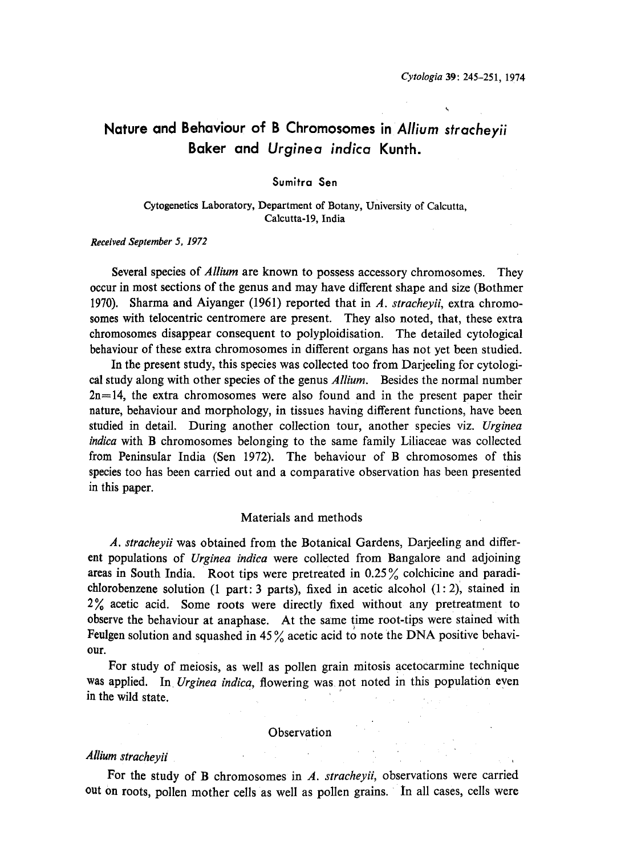# Nature and Behaviour of B Chromosomes in Allium stracheyii Baker and Urginea indica Kunth.

#### Sumitra Sen

## Cytogenetics Laboratory, Department of Botany, University of Calcutta, Calcutta-19, India

Received September 5, 1972

Several species of Allium are known to possess accessory chromosomes. They occur in most sections of the genus and may have different shape and size (Bothmer 1970). Sharma and Aiyanger (1961) reported that in A. strachevii, extra chromosomes with telocentric centromere are present. They also noted, that, these extra chromosomes disappear consequent to polyploidisation. The detailed cytological behaviour of these extra chromosomes in different organs has not yet been studied.

In the present study, this species was collected too from Darjeeling for cytologi cal study along with other species of the genus *Allium*. Besides the normal number  $2n=14$ , the extra chromosomes were also found and in the present paper their nature, behaviour and morphology, in tissues having different functions, have been studied in detail. During another collection tour, another species viz. Urginea indica with B chromosomes belonging to the same family Liliaceae was collected from Peninsular India (Sen 1972). The behaviour of B chromosomes of this species too has been carried out and a comparative observation has been presented in this paper.

#### Materials and methods

A. stracheyii was obtained from the Botanical Gardens, Darjeeling and differ ent populations of Urginea indica were collected from Bangalore and adjoining areas in South India. Root tips were pretreated in  $0.25\%$  colchicine and paradichlorobenzene solution (1 part: 3 parts), fixed in acetic alcohol  $(1: 2)$ , stained in 2% acetic acid. Some roots were directly fixed without any pretreatment to observe the behaviour at anaphase. At the same time root-tips were stained with Feulgen solution and squashed in  $45\%$  acetic acid to note the DNA positive behaviour.

For study of meiosis, as well as pollen grain mitosis acetocarmine technique was applied. In *Urginea indica*, flowering was not noted in this population even in the wild state.

#### **Observation**

#### Allium strachevii

For the study of B chromosomes in  $A$ . stracheyii, observations were carried out on roots, pollen mother cells as well as pollen grains. In all cases, cells were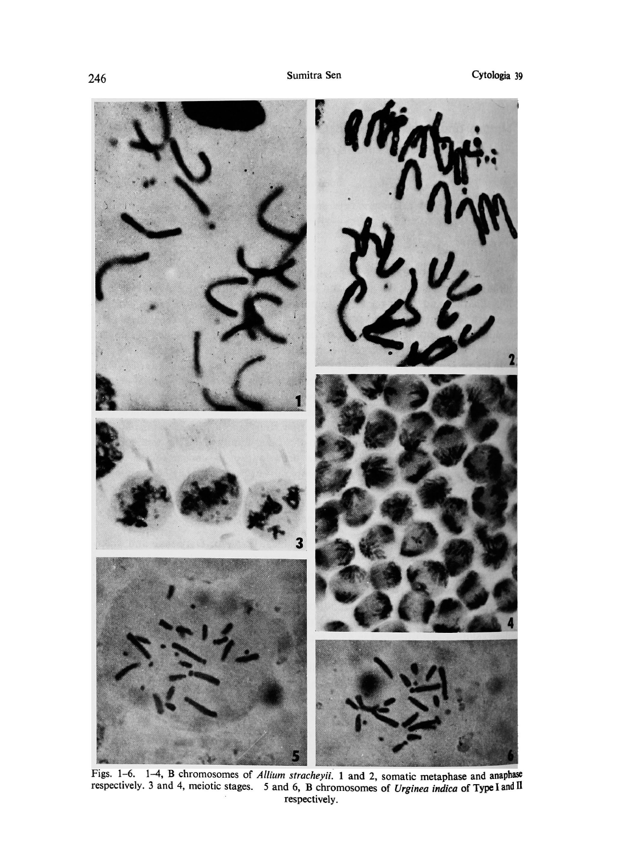

Figs. 1-6. 1-4, B chromosomes of *Allium stracheyii*. 1 and 2, somatic metaphase and anaphase respectively. 3 and 4, meiotic stages. 5 and 6. B chromosomes of *Urginea indica* of Type I and II respectively.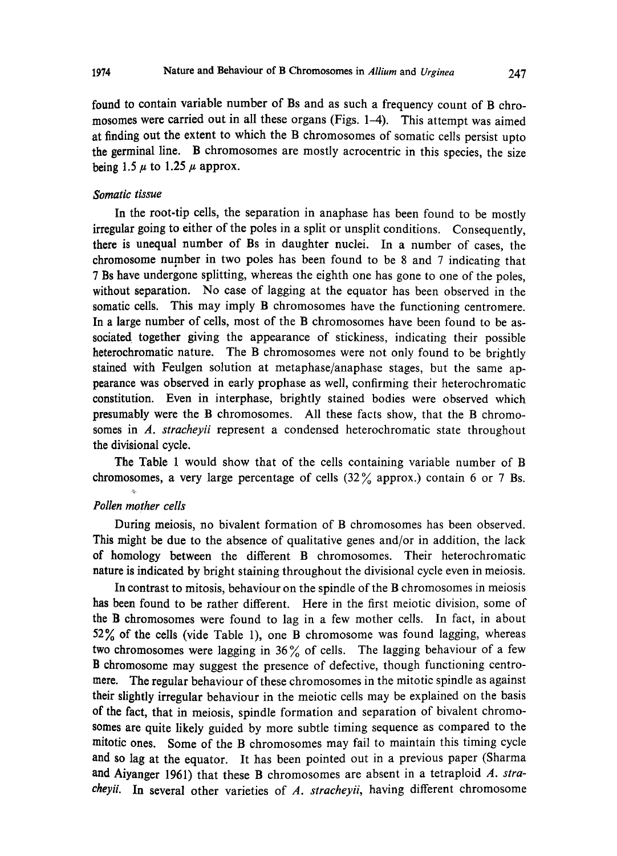found to contain variable number of Bs and as such a frequency count of B chro mosomes were carried out in all these organs (Figs. 1-4). This attempt was aimed at finding out the extent to which the B chromosomes of somatic cells persist upto the germinal line. B chromosomes are mostly acrocentric in this species, the size being 1.5  $\mu$  to 1.25  $\mu$  approx.

#### Somatic tissue

In the root-tip cells, the separation in anaphase has been found to be mostly irregular going to either of the poles in a split or unsplit conditions. Consequently, there is unequal number of Bs in daughter nuclei. In a number of cases, the chromosome number in two poles has been found to be 8 and 7 indicating that 7 Bs have undergone splitting, whereas the eighth one has gone to one of the poles, without separation. No case of lagging at the equator has been observed in the somatic cells. This may imply B chromosomes have the functioning centromere. In a large number of cells, most of the B chromosomes have been found to be as sociated together giving the appearance of stickiness, indicating their possible heterochromatic nature. The B chromosomes were not only found to be brightly stained with Feulgen solution at metaphase/anaphase stages, but the same ap pearance was observed in early prophase as well, confirming their heterochromatic constitution. Even in interphase, brightly stained bodies were observed which presumably were the B chromosomes. All these facts show, that the B chromo somes in A. stracheyii represent a condensed heterochromatic state throughout the divisional cycle.

The Table 1 would show that of the cells containing variable number of B chromosomes, a very large percentage of cells  $(32\%$  approx.) contain 6 or 7 Bs.

### Pollen mother cells

During meiosis, no bivalent formation of B chromosomes has been observed. This might be due to the absence of qualitative genes and/or in addition, the lack of homology between the different B chromosomes. Their heterochromatic nature is indicated by bright staining throughout the divisional cycle even in meiosis.

In contrast to mitosis, behaviour on the spindle of the B chromosomes in meiosis has been found to be rather different. Here in the first meiotic division, some of the B chromosomes were found to lag in a few mother cells. In fact, in about 52% of the cells (vide Table 1), one B chromosome was found lagging, whereas two chromosomes were lagging in  $36\%$  of cells. The lagging behaviour of a few B chromosome may suggest the presence of defective, though functioning centro mere. The regular behaviour of these chromosomes in the mitotic spindle as against their slightly irregular behaviour in the meiotic cells may be explained on the basis of the fact, that in meiosis, spindle formation and separation of bivalent chromo somes are quite likely guided by more subtle timing sequence as compared to the mitotic ones. Some of the B chromosomes may fail to maintain this timing cycle and so lag at the equator. It has been pointed out in a previous paper (Sharma and Aiyanger 1961) that these B chromosomes are absent in a tetraploid  $A$ . stra*cheyii.* In several other varieties of A, stracheyii, having different chromosome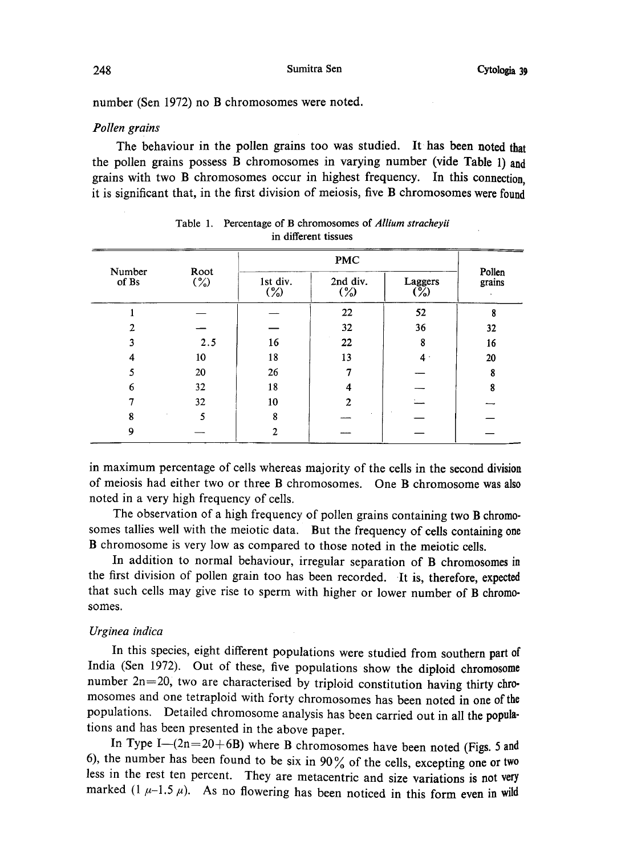number (Sen 1972) no B chromosomes were noted.

## Pollen grains

The behaviour in the pollen grains too was studied. It has been noted that the pollen grains possess B chromosomes in varying number (vide Table 1) and grains with two B chromosomes occur in highest frequency. In this connection, it is significant that, in the first division of meiosis, five B chromosomes were found

| Number<br>of Bs | Root<br>$\binom{9}{0}$ | PMC                |                    |                |                  |
|-----------------|------------------------|--------------------|--------------------|----------------|------------------|
|                 |                        | 1st div.<br>$(\%)$ | 2nd div.<br>$(\%)$ | Laggers<br>0%  | Pollen<br>grains |
|                 |                        |                    | 22                 | 52             | 8                |
| 2               |                        |                    | 32                 | 36             | 32               |
| 3               | 2.5                    | 16                 | 22                 | 8              | 16               |
| 4               | 10                     | 18                 | 13                 | 4 <sup>1</sup> | 20               |
|                 | 20                     | 26                 |                    |                | 8                |
| 6               | 32                     | 18                 | 4                  |                | 8                |
|                 | 32                     | 10                 | $\overline{2}$     |                |                  |
| 8               |                        | 8                  |                    |                |                  |
| 9               |                        | $\overline{2}$     |                    |                |                  |

|                      | Table 1. Percentage of B chromosomes of <i>Allium strachevii</i> |  |  |  |
|----------------------|------------------------------------------------------------------|--|--|--|
| in different tissues |                                                                  |  |  |  |

in maximum percentage of cells whereas majority of the cells in the second division of meiosis had either two or three B chromosomes. One B chromosome was also noted in a very high frequency of cells.

The observation of a high frequency of pollen grains containing two B chromo somes tallies well with the meiotic data. But the frequency of cells containing one B chromosome is very low as compared to those noted in the meiotic cells.

In addition to normal behaviour, irregular separation of B chromosomes in the first division of pollen grain too has been recorded. It is, therefore, expected that such cells may give rise to sperm with higher or lower number of B chromo somes.

#### Urginea indica

In this species, eight different populations were studied from southern part of India (Sen 1972). Out of these, five populations show the diploid chromosome number  $2n=20$ , two are characterised by triploid constitution having thirty chromosomes and one tetraploid with forty chromosomes has been noted in one of the populations. Detailed chromosome analysis has been carried out in all the popula tions and has been presented in the above paper .

In Type  $I = (2n = 20 + 6B)$  where B chromosomes have been noted (Figs. 5 and 6), the number has been found to be six in 90% of the cells, excepting one or two less in the rest ten percent. They are metacentric and size variations is not very marked  $(1 \mu-1.5 \mu)$ . As no flowering has been noticed in this form even in wild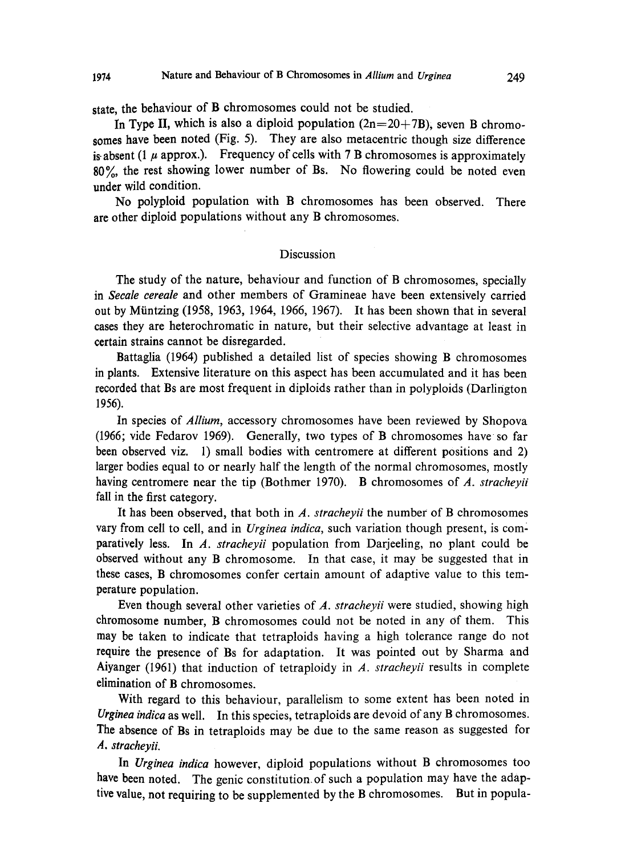state, the behaviour of B chromosomes could not be studied.

In Type II, which is also a diploid population  $(2n=20+7B)$ , seven B chromosomes have been noted (Fig. 5). They are also metacentric though size difference is absent (1  $\mu$  approx.). Frequency of cells with 7 B chromosomes is approximately 80%, the rest showing lower number of Bs. No flowering could be noted even under wild condition.

No polyploid population with B chromosomes has been observed. There are other diploid populations without any B chromosomes.

#### Discussion

The study of the nature, behaviour and function of B chromosomes, specially in Secale cereale and other members of Gramineae have been extensively carried out by Miintzing (1958, 1963, 1964, 1966, 1967). It has been shown that in several cases they are heterochromatic in nature, but their selective advantage at least in certain strains cannot be disregarded.

Battaglia (1964) published a detailed list of species showing B chromosomes in plants. Extensive literature on this aspect has been accumulated and it has been recorded that Bs are most frequent in diploids rather than in polyploids (Darlington 1956).

In species of Allium, accessory chromosomes have been reviewed by Shopova (1966; vide Fedarov 1969). Generally, two types of B chromosomes have so far been observed viz. 1) small bodies with centromere at different positions and 2) larger bodies equal to or nearly half the length of the normal chromosomes, mostly having centromere near the tip (Bothmer 1970). B chromosomes of A. stracheyii fall in the first category.

It has been observed, that both in  $\vec{A}$ . stracheyii the number of B chromosomes vary from cell to cell, and in Urginea indica, such variation though present, is com paratively less. In A. stracheyii population from Darjeeling, no plant could be observed without any B chromosome. In that case, it may be suggested that in these cases, B chromosomes confer certain amount of adaptive value to this tem perature population.

Even though several other varieties of A. stracheyii were studied, showing high chromosome number, B chromosomes could not be noted in any of them. This may be taken to indicate that tetraploids having a high tolerance range do not require the presence of Bs for adaptation. It was pointed out by Sharma and Aiyanger (1961) that induction of tetraploidy in  $A$ . stracheyii results in complete elimination of B chromosomes.

With regard to this behaviour, parallelism to some extent has been noted in Urginea indica as well. In this species, tetraploids are devoid of any B chromosomes. The absence of Bs in tetraploids may be due to the same reason as suggested for A. stracheyii.

In Urginea indica however, diploid populations without B chromosomes too have been noted. The genic constitution of such a population may have the adaptive value, not requiring to be supplemented by the B chromosomes. But in popula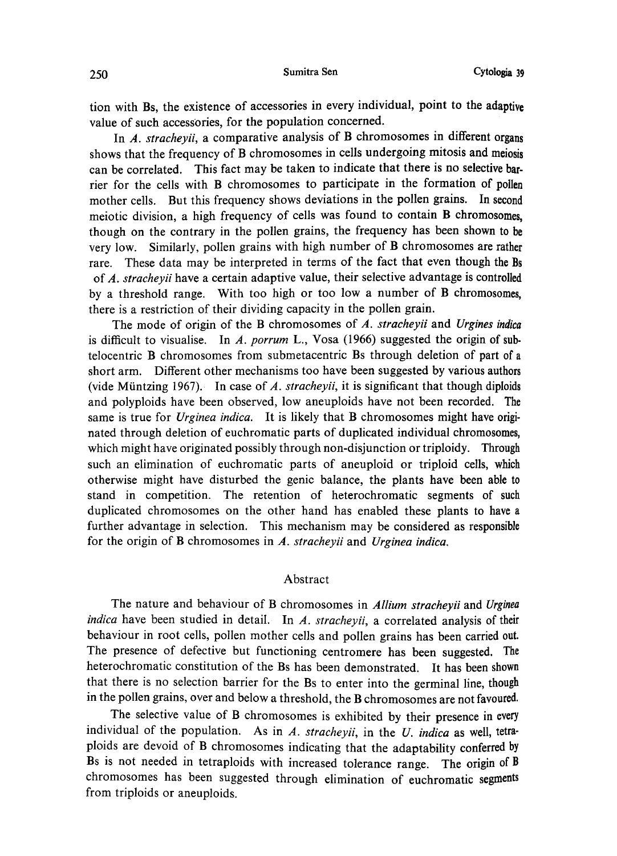tion with Bs, the existence of accessories in every individual, point to the adaptive value of such accessories, for the population concerned.

In A. stracheyii, a comparative analysis of B chromosomes in different organs shows that the frequency of B chromosomes in cells undergoing mitosis and meiosis can be correlated. This fact may be taken to indicate that there is no selective bar rier for the cells with B chromosomes to participate in the formation of pollen mother cells. But this frequency shows deviations in the pollen grains. In second meiotic division, a high frequency of cells was found to contain B chromosomes, though on the contrary in the pollen grains, the frequency has been shown to be very low. Similarly, pollen grains with high number of B chromosomes are rather rare. These data may be interpreted in terms of the fact that even though the Bs of A. stracheyii have a certain adaptive value, their selective advantage is controlled by a threshold range. With too high or too low a number of B chromosomes, there is a restriction of their dividing capacity in the pollen grain.

The mode of origin of the B chromosomes of A. stracheyii and Urgines indica is difficult to visualise. In A. porrum L., Vosa (1966) suggested the origin of subtelocentric B chromosomes from submetacentric Bs through deletion of part of a short arm. Different other mechanisms too have been suggested by various authors (vide Müntzing 1967). In case of  $A$ . stracheyii, it is significant that though diploids and polyploids have been observed, low aneuploids have not been recorded. The same is true for *Urginea indica*. It is likely that B chromosomes might have originated through deletion of euchromatic parts of duplicated individual chromosomes, which might have originated possibly through non-disjunction or triploidy. Through such an elimination of euchromatic parts of aneuploid or triploid cells, which otherwise might have disturbed the genic balance, the plants have been able to stand in competition. The retention of heterochromatic segments of such duplicated chromosomes on the other hand has enabled these plants to have a further advantage in selection. This mechanism may be considered as responsible for the origin of  $B$  chromosomes in  $A$ . stracheyii and Urginea indica.

### Abstract

The nature and behaviour of B chromosomes in Allium stracheyii and Urginea indica have been studied in detail. In  $A$ . stracheyii, a correlated analysis of their behaviour in root cells, pollen mother cells and pollen grains has been carried out. The presence of defective but functioning centromere has been suggested. The heterochromatic constitution of the Bs has been demonstrated. It has been shown that there is no selection barrier for the Bs to enter into the germinal line, though in the pollen grains, over and below a threshold, the B chromosomes are not favoured.

The selective value of B chromosomes is exhibited by their presence in every individual of the population. As in A. stracheyii, in the U. indica as well, tetra ploids are devoid of B chromosomes indicating that the adaptability conferred by Bs is not needed in tetraploids with increased tolerance range . The origin of B chromosomes has been suggested through elimination of euchromatic segments from triploids or aneuploids.